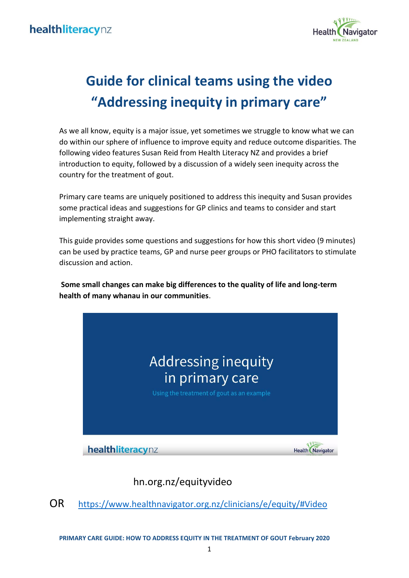

# **Guide for clinical teams using the video "Addressing inequity in primary care"**

As we all know, equity is a major issue, yet sometimes we struggle to know what we can do within our sphere of influence to improve equity and reduce outcome disparities. The following video features Susan Reid from Health Literacy NZ and provides a brief introduction to equity, followed by a discussion of a widely seen inequity across the country for the treatment of gout.

Primary care teams are uniquely positioned to address this inequity and Susan provides some practical ideas and suggestions for GP clinics and teams to consider and start implementing straight away.

This guide provides some questions and suggestions for how this short video (9 minutes) can be used by practice teams, GP and nurse peer groups or PHO facilitators to stimulate discussion and action.

**Some small changes can make big differences to the quality of life and long-term health of many whanau in our communities**.



## hn.org.nz/equityvideo

OR <https://www.healthnavigator.org.nz/clinicians/e/equity/#Video>

**PRIMARY CARE GUIDE: HOW TO ADDRESS EQUITY IN THE TREATMENT OF GOUT February 2020**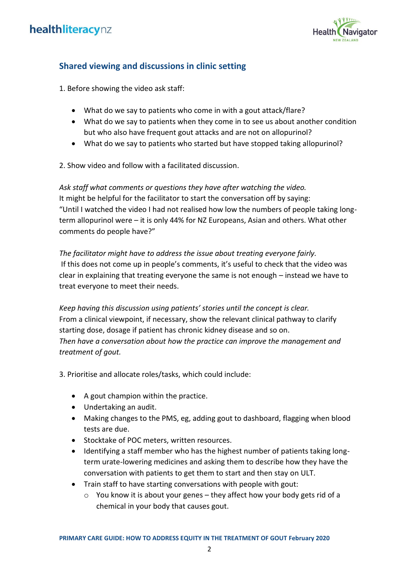

## **Shared viewing and discussions in clinic setting**

1. Before showing the video ask staff:

- What do we say to patients who come in with a gout attack/flare?
- What do we say to patients when they come in to see us about another condition but who also have frequent gout attacks and are not on allopurinol?
- What do we say to patients who started but have stopped taking allopurinol?

2. Show video and follow with a facilitated discussion.

*Ask staff what comments or questions they have after watching the video.* It might be helpful for the facilitator to start the conversation off by saying: "Until I watched the video I had not realised how low the numbers of people taking longterm allopurinol were – it is only 44% for NZ Europeans, Asian and others. What other comments do people have?"

*The facilitator might have to address the issue about treating everyone fairly.* If this does not come up in people's comments, it's useful to check that the video was clear in explaining that treating everyone the same is not enough – instead we have to treat everyone to meet their needs.

*Keep having this discussion using patients' stories until the concept is clear.*  From a clinical viewpoint, if necessary, show the relevant clinical pathway to clarify starting dose, dosage if patient has chronic kidney disease and so on. *Then have a conversation about how the practice can improve the management and treatment of gout.* 

3. Prioritise and allocate roles/tasks, which could include:

- A gout champion within the practice.
- Undertaking an audit.
- Making changes to the PMS, eg, adding gout to dashboard, flagging when blood tests are due.
- Stocktake of POC meters, written resources.
- Identifying a staff member who has the highest number of patients taking longterm urate-lowering medicines and asking them to describe how they have the conversation with patients to get them to start and then stay on ULT.
- Train staff to have starting conversations with people with gout:
	- o You know it is about your genes they affect how your body gets rid of a chemical in your body that causes gout.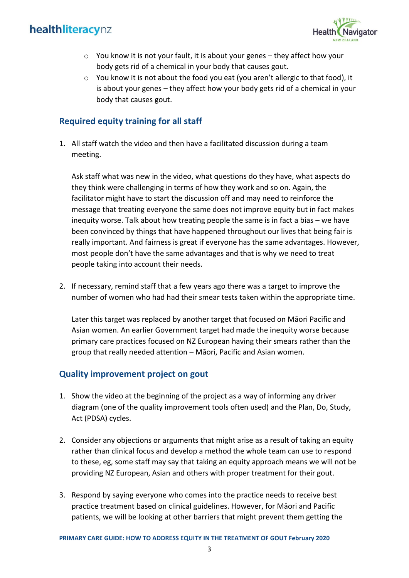## healthliteracynz



- $\circ$  You know it is not your fault, it is about your genes they affect how your body gets rid of a chemical in your body that causes gout.
- $\circ$  You know it is not about the food you eat (you aren't allergic to that food), it is about your genes – they affect how your body gets rid of a chemical in your body that causes gout.

#### **Required equity training for all staff**

1. All staff watch the video and then have a facilitated discussion during a team meeting.

Ask staff what was new in the video, what questions do they have, what aspects do they think were challenging in terms of how they work and so on. Again, the facilitator might have to start the discussion off and may need to reinforce the message that treating everyone the same does not improve equity but in fact makes inequity worse. Talk about how treating people the same is in fact a bias – we have been convinced by things that have happened throughout our lives that being fair is really important. And fairness is great if everyone has the same advantages. However, most people don't have the same advantages and that is why we need to treat people taking into account their needs.

2. If necessary, remind staff that a few years ago there was a target to improve the number of women who had had their smear tests taken within the appropriate time.

Later this target was replaced by another target that focused on Māori Pacific and Asian women. An earlier Government target had made the inequity worse because primary care practices focused on NZ European having their smears rather than the group that really needed attention – Māori, Pacific and Asian women.

#### **Quality improvement project on gout**

- 1. Show the video at the beginning of the project as a way of informing any driver diagram (one of the quality improvement tools often used) and the Plan, Do, Study, Act (PDSA) cycles.
- 2. Consider any objections or arguments that might arise as a result of taking an equity rather than clinical focus and develop a method the whole team can use to respond to these, eg, some staff may say that taking an equity approach means we will not be providing NZ European, Asian and others with proper treatment for their gout.
- 3. Respond by saying everyone who comes into the practice needs to receive best practice treatment based on clinical guidelines. However, for Māori and Pacific patients, we will be looking at other barriers that might prevent them getting the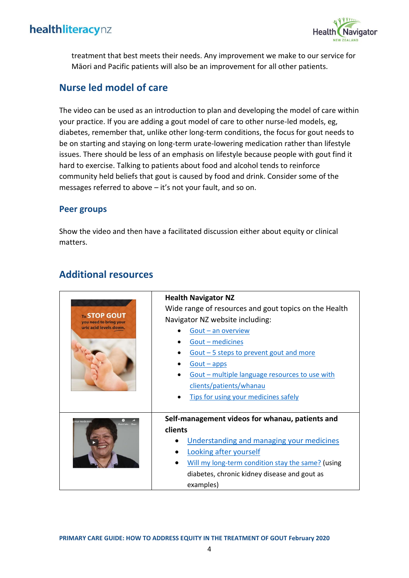## healthliteracynz



treatment that best meets their needs. Any improvement we make to our service for Māori and Pacific patients will also be an improvement for all other patients.

## **Nurse led model of care**

The video can be used as an introduction to plan and developing the model of care within your practice. If you are adding a gout model of care to other nurse-led models, eg, diabetes, remember that, unlike other long-term conditions, the focus for gout needs to be on starting and staying on long-term urate-lowering medication rather than lifestyle issues. There should be less of an emphasis on lifestyle because people with gout find it hard to exercise. Talking to patients about food and alcohol tends to reinforce community held beliefs that gout is caused by food and drink. Consider some of the messages referred to above – it's not your fault, and so on.

#### **Peer groups**

Show the video and then have a facilitated discussion either about equity or clinical matters.

## **Additional resources**

| To STOP GOUT<br>you need to bring your<br>uric acid levels down. | <b>Health Navigator NZ</b>                            |
|------------------------------------------------------------------|-------------------------------------------------------|
|                                                                  | Wide range of resources and gout topics on the Health |
|                                                                  | Navigator NZ website including:                       |
|                                                                  | Gout $-$ an overview                                  |
|                                                                  | Gout - medicines                                      |
|                                                                  | Gout - 5 steps to prevent gout and more               |
|                                                                  | $Gout - apps$                                         |
|                                                                  | Gout - multiple language resources to use with        |
|                                                                  | clients/patients/whanau                               |
|                                                                  | Tips for using your medicines safely                  |
|                                                                  |                                                       |
| ir medicine:                                                     | Self-management videos for whanau, patients and       |
|                                                                  | clients                                               |
|                                                                  | Understanding and managing your medicines             |
|                                                                  | Looking after yourself                                |
|                                                                  | Will my long-term condition stay the same? (using     |
|                                                                  | diabetes, chronic kidney disease and gout as          |
|                                                                  | examples)                                             |